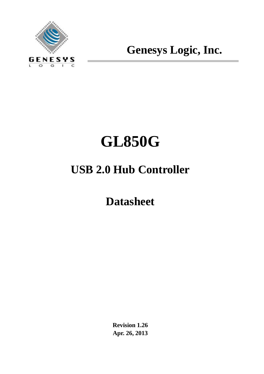

**Genesys Logic, Inc.**

# **GL850G**

## **USB 2.0 Hub Controller**

**Datasheet**

**Revision 1.26 Apr. 26, 2013**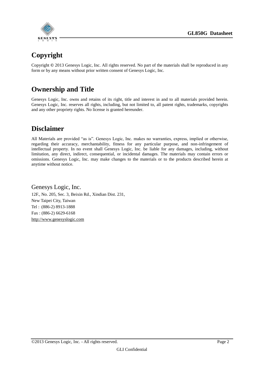

## **Copyright**

Copyright **©** 2013 Genesys Logic, Inc. All rights reserved. No part of the materials shall be reproduced in any form or by any means without prior written consent of Genesys Logic, Inc.

## **Ownership and Title**

Genesys Logic, Inc. owns and retains of its right, title and interest in and to all materials provided herein. Genesys Logic, Inc. reserves all rights, including, but not limited to, all patent rights, trademarks, copyrights and any other propriety rights. No license is granted hereunder.

## **Disclaimer**

All Materials are provided "as is". Genesys Logic, Inc. makes no warranties, express, implied or otherwise, regarding their accuracy, merchantability, fitness for any particular purpose, and non-infringement of intellectual property. In no event shall Genesys Logic, Inc. be liable for any damages, including, without limitation, any direct, indirect, consequential, or incidental damages. The materials may contain errors or omissions. Genesys Logic, Inc. may make changes to the materials or to the products described herein at anytime without notice.

Genesys Logic, Inc. 12F., No. 205, Sec. 3, Beixin Rd., Xindian Dist. 231, New Taipei City, Taiwan Tel : (886-2) 8913-1888 Fax : (886-2) 6629-6168 [http://www.genesyslogic.com](http://www.genesyslogic.com/)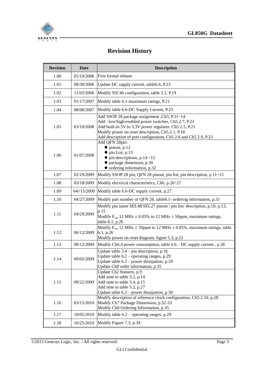

## **Revision History**

| <b>Revision</b> | <b>Date</b> | <b>Description</b>                                                                                                                                                                                                                                                                    |  |  |  |  |  |  |  |
|-----------------|-------------|---------------------------------------------------------------------------------------------------------------------------------------------------------------------------------------------------------------------------------------------------------------------------------------|--|--|--|--|--|--|--|
| 1.00            | 05/10/2006  | First formal release                                                                                                                                                                                                                                                                  |  |  |  |  |  |  |  |
| 1.01            | 08/30/2006  | Update DC supply current, table6.6, P.23                                                                                                                                                                                                                                              |  |  |  |  |  |  |  |
| 1.02            | 11/03/2006  | Modify 93C46 configuration, table 5.1, P.19                                                                                                                                                                                                                                           |  |  |  |  |  |  |  |
| 1.03            | 01/17/2007  | Modify table 6.1-maximum ratings, P.21                                                                                                                                                                                                                                                |  |  |  |  |  |  |  |
| 1.04            | 08/08/2007  | Modify table 6.6-DC Supply Current, P.23                                                                                                                                                                                                                                              |  |  |  |  |  |  |  |
| 1.05            | 03/10/2008  | Add SSOP 28 package assignment, Ch3, P.11~14<br>Add -low/high-enabled power switches, Ch5.2.7, P.23<br>Add built-in 5V to 3.3V power regulator, Ch5.2.5, P.21<br>Modify power on reset description, Ch5.2.1, P.18<br>Add description of port configuration, Ch5.2.8 and Ch5.2.9, P.23 |  |  |  |  |  |  |  |
| 1.06            | 01/07/2008  | Add QFN 28pin:<br>$\bullet$ pinout, p.12<br>$\bullet$ pin List, p.13<br>$\bullet$ pin descriptions, p.14 ~15<br>$\bullet$ package dimension, p.30<br>• ordering information, p.32                                                                                                     |  |  |  |  |  |  |  |
| 1.07            | 02/19/2009  | Modify SSOP 28 pin, QFN 28 pinout, pin list, pin description, p.11~15                                                                                                                                                                                                                 |  |  |  |  |  |  |  |
| 1.08            | 03/18/2009  | Modify electrical characteristics, Ch6, p.26~27                                                                                                                                                                                                                                       |  |  |  |  |  |  |  |
| 1.09            | 04//15/2009 | Modify table 6.6-DC supply current, p.27                                                                                                                                                                                                                                              |  |  |  |  |  |  |  |
| 1.10            | 04/27/2009  | Modify part number of QFN 28, table8.1- ordering information, p.31                                                                                                                                                                                                                    |  |  |  |  |  |  |  |
| 1.11            | 04/29/2009  | Modify pin name SEL48/SEL27 pinout / pin list/ description, p.10, p.13,<br>p.15<br>Modify $F_{osc}$ 12 MHz $\pm$ 0.05% to 12 MHz $\pm$ 50ppm, maximum ratings,<br>table-6.1, p.26                                                                                                     |  |  |  |  |  |  |  |
| 1.12            | 06/12/2009  | Modify $F_{osc}$ 12 MHz $\pm$ 50ppm to 12 MHz $\pm$ 0.05%, maximum ratings, table<br>6.1, p.26<br>Modify power on reset diagram, figure 5.3, p.21                                                                                                                                     |  |  |  |  |  |  |  |
| 1.13            | 08/12/2009  | Modify Ch6.4 power consumption, table $6.6 - DC$ supply current, p.28                                                                                                                                                                                                                 |  |  |  |  |  |  |  |
| 1.14            | 09/02/2009  | Update table $3.4$ – pin description, p.16<br>Update table $6.2$ – operating ranges, p.29<br>Update table 6.3 - power dissipation, p.29<br>Update Ch8 order information, p.35                                                                                                         |  |  |  |  |  |  |  |
| 1.15            | 09/22/2009  | Update Ch <sub>2</sub> features, p.9<br>Add note to table 3.2, p.14<br>Add note to table 3.4, p.15<br>Add note to table 5.2, p.27<br>Update table $6.3$ – power dissipation, p.30                                                                                                     |  |  |  |  |  |  |  |
| 1.16            | 03/15/2010  | Modify description of reference clock configuration, Ch5.2.10, p.28<br>Modify Ch7 Package Dimension, p.32-33<br>Modify Ch8 Ordering Information, p.35                                                                                                                                 |  |  |  |  |  |  |  |
| 1.17            | 10/05/2010  | Modify table $6.2$ – operating ranges, p.29                                                                                                                                                                                                                                           |  |  |  |  |  |  |  |
| 1.18            | 10/25/2010  | Modify Figure 7.3, p.34                                                                                                                                                                                                                                                               |  |  |  |  |  |  |  |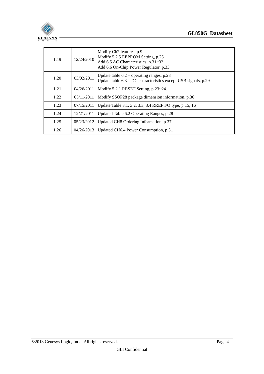

| 1.19 | 12/24/2010 | Modify Ch <sub>2</sub> features, p.9<br>Modify 5.2.5 EEPROM Setting, p.25<br>Add 6.5 AC Characteristics, p.31~32<br>Add 6.6 On-Chip Power Regulator, p.33 |
|------|------------|-----------------------------------------------------------------------------------------------------------------------------------------------------------|
| 1.20 | 03/02/2011 | Update table $6.2$ – operating ranges, p.28<br>Update table $6.3 - DC$ characteristics except USB signals, p.29                                           |
| 1.21 | 04/26/2011 | Modify 5.2.1 RESET Setting, p.23~24.                                                                                                                      |
| 1.22 | 05/11/2011 | Modify SSOP28 package dimension information, p.36                                                                                                         |
| 1.23 | 07/15/2011 | Update Table 3.1, 3.2, 3.3, 3.4 RREF I/O type, p.15, 16                                                                                                   |
| 1.24 | 12/21/2011 | Updated Table 6.2 Operating Ranges, p.28                                                                                                                  |
| 1.25 | 05/23/2012 | Updated CH8 Ordering Information, p.37                                                                                                                    |
| 1.26 | 04/26/2013 | Updated CH6.4 Power Consumption, p.31                                                                                                                     |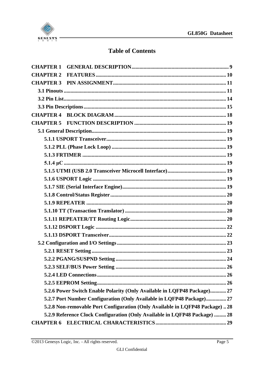

## **Table of Contents**

| <b>CHAPTER 5</b> |                                                                              |
|------------------|------------------------------------------------------------------------------|
|                  |                                                                              |
|                  |                                                                              |
|                  |                                                                              |
|                  |                                                                              |
|                  |                                                                              |
|                  |                                                                              |
|                  |                                                                              |
|                  |                                                                              |
|                  |                                                                              |
|                  |                                                                              |
|                  |                                                                              |
|                  |                                                                              |
|                  |                                                                              |
|                  |                                                                              |
|                  |                                                                              |
|                  |                                                                              |
|                  |                                                                              |
|                  |                                                                              |
|                  |                                                                              |
|                  |                                                                              |
|                  | 5.2.6 Power Switch Enable Polarity (Only Available in LQFP48 Package) 27     |
|                  | 5.2.7 Port Number Configuration (Only Available in LQFP48 Package) 27        |
|                  | 5.2.8 Non-removable Port Configuration (Only Available in LQFP48 Package) 28 |
|                  | 5.2.9 Reference Clock Configuration (Only Available in LQFP48 Package)  28   |
| <b>CHAPTER 6</b> |                                                                              |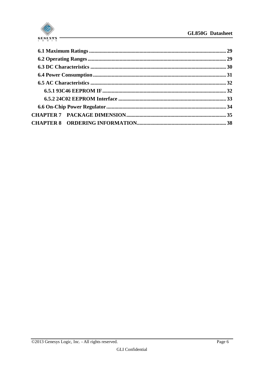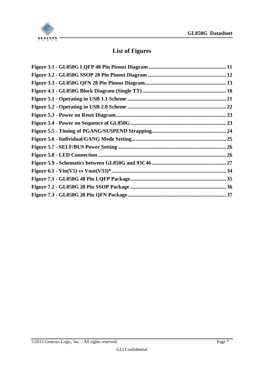

## **List of Figures**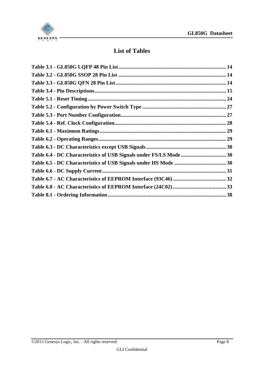

## **List of Tables**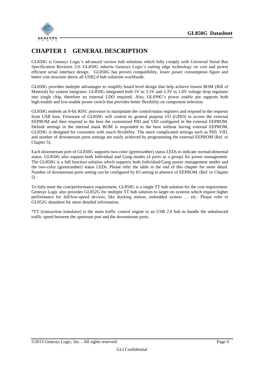

### <span id="page-8-0"></span>**CHAPTER 1 GENERAL DESCRIPTION**

GL850G is Genesys Logic's advanced version hub solutions which fully comply with Universal Serial Bus Specification Revision 2.0. GL850G inherits Genesys Logic's cutting edge technology on cost and power efficient serial interface design. GL850G has proven compatibility, lower power consumption figure and better cost structure above all USB2.0 hub solutions worldwide.

GL850G provides multiple advantages to simplify board level design that help achieve lowest BOM (Bill of Material) for system integrator. GL850G integrated both 5V to 3.3V and 3.3V to 1.8V voltage drop regulator into single chip, therefore no external LDO required. Also, GL850G's power enable pin supports both high-enable and low-enable power switch that provides better flexibility on component selection.

GL850G embeds an 8-bit RISC processor to manipulate the control/status registers and respond to the requests from USB host. Firmware of GL850G will control its general purpose I/O (GPIO) to access the external EEPROM and then respond to the host the customized PID and VID configured in the external EEPROM. Default settings in the internal mask ROM is responded to the host without having external EEPROM. GL850G is designed for customers with much flexibility. The more complicated settings such as PID, VID, and number of downstream ports settings are easily achieved by programming the external EEPROM (Ref. to Chapter 5).

Each downstream port of GL850G supports two-color (green/amber) status LEDs to indicate normal/abnormal status. GL850G also support both Individual and Gang modes (4 ports as a group) for power management. The GL850G is a full function solution which supports both Individual/Gang power management modes and the two-color (green/amber) status LEDs. Please refer the table in the end of this chapter for more detail. Number of downstream ports setting can be configured by IO setting in absence of EEPROM. (Ref. to Chapter 5)

To fully meet the cost/performance requirement, GL850G is a single TT hub solution for the cost requirement. Genesys Logic also provides GL852G for multiple TT hub solution to target on systems which require higher performance for full/low-speed devices, like docking station, embedded system … etc.. Please refer to GL852G datasheet for more detailed information.

\*TT (transaction translator) is the main traffic control engine in an USB 2.0 hub to handle the unbalanced traffic speed between the upstream port and the downstream ports.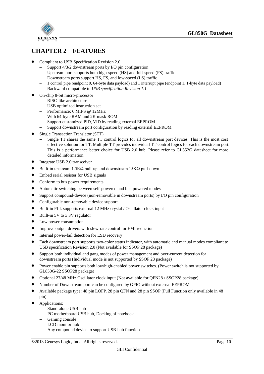

## <span id="page-9-0"></span>**CHAPTER 2 FEATURES**

- Compliant to USB Specification Revision 2.0
	- Support 4/3/2 downstream ports by I/O pin configuration
	- Upstream port supports both high-speed (HS) and full-speed (FS) traffic
	- Downstream ports support HS, FS, and low-speed (LS) traffic
	- 1 control pipe (endpoint 0, 64-byte data payload) and 1 interrupt pipe (endpoint 1, 1-byte data payload)
	- Backward compatible to *USB specification Revision 1.1*
	- On-chip 8-bit micro-processor
		- RISC-like architecture
		- USB optimized instruction set
		- Performance: 6 MIPS @ 12MHz
		- With 64-byte RAM and 2K mask ROM
		- Support customized PID, VID by reading external EEPROM
		- Support downstream port configuration by reading external EEPROM
- Single Transaction Translator (STT)
	- Single TT shares the same TT control logics for all downstream port devices. This is the most cost effective solution for TT. Multiple TT provides individual TT control logics for each downstream port. This is a performance better choice for USB 2.0 hub. Please refer to GL852G datasheet for more detailed information.
- Integrate USB 2.0 transceiver
- $\bullet$  Built-in upstream 1.5K $\Omega$  pull-up and downstream 15K $\Omega$  pull-down
- Embed serial resister for USB signals
- Conform to bus power requirements
- Automatic switching between self-powered and bus-powered modes
- Support compound-device (non-removable in downstream ports) by I/O pin configuration
- Configurable non-removable device support
- Built-in PLL supports external 12 MHz crystal / Oscillator clock input
- Built-in 5V to 3.3V regulator
- Low power consumption
- Improve output drivers with slew-rate control for EMI reduction
- $\bullet$  Internal power-fail detection for ESD recovery
- Each downstream port supports two-color status indicator, with automatic and manual modes compliant to USB specification Revision 2.0 (Not available for SSOP 28 package)
- Support both individual and gang modes of power management and over-current detection for downstream ports (Individual mode is not supported by SSOP 28 package)
- Power enable pin supports both low/high-enabled power switches. (Power switch is not supported by GL850G-22 SSOP28 package)
- Optional 27/48 MHz Oscillator clock input (Not available for QFN28 / SSOP28 package)
- Number of Downstream port can be configured by GPIO without external EEPROM
- Available package type: 48 pin LQFP, 28 pin QFN and 28 pin SSOP (Full Function only available in 48 pin)
- Applications:
	- Stand-alone USB hub
	- PC motherboard USB hub, Docking of notebook
	- Gaming console
	- LCD monitor hub
	- Any compound device to support USB hub function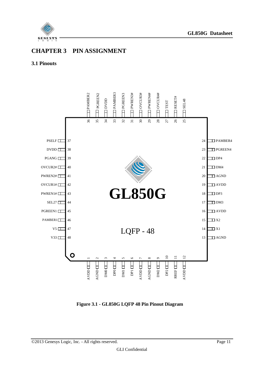

## <span id="page-10-0"></span>**CHAPTER 3 PIN ASSIGNMENT**

#### <span id="page-10-1"></span>**3.1 Pinouts**



<span id="page-10-2"></span>**Figure 3.1 - GL850G LQFP 48 Pin Pinout Diagram**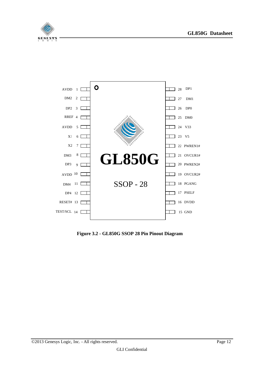



<span id="page-11-0"></span>**Figure 3.2 - GL850G SSOP 28 Pin Pinout Diagram**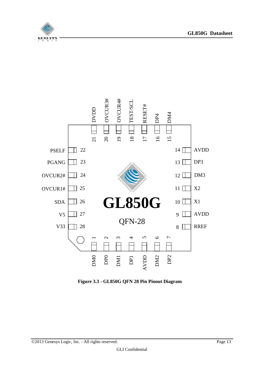





<span id="page-12-0"></span>**Figure 3.3 - GL850G QFN 28 Pin Pinout Diagram**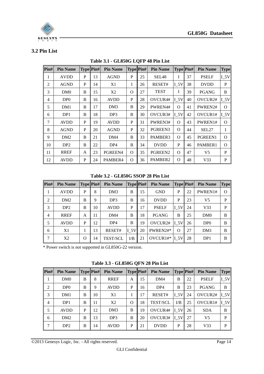

#### <span id="page-13-1"></span><span id="page-13-0"></span>**3.2 Pin List**

| Pin# | <b>Pin Name</b> |   | <b>Type Pin#</b> | <b>Pin Name</b> | Type Pin# |    | <b>Pin Name</b>   |                 | Type Pin# | <b>Pin Name</b>     | <b>Type</b>     |
|------|-----------------|---|------------------|-----------------|-----------|----|-------------------|-----------------|-----------|---------------------|-----------------|
| 1    | <b>AVDD</b>     | P | 13               | <b>AGND</b>     | P         | 25 | SEL <sub>48</sub> | I               | 37        | <b>PSELF</b>        | $I_5V$          |
| 2    | <b>AGND</b>     | P | 14               | X1              | L         | 26 | RESET#            | <b>I</b> 5V     | 38        | <b>DVDD</b>         | P               |
| 3    | DM <sub>0</sub> | B | 15               | X <sub>2</sub>  | O         | 27 | <b>TEST</b>       | I               | 39        | <b>PGANG</b>        | B               |
| 4    | DP <sub>0</sub> | B | 16               | <b>AVDD</b>     | P         | 28 | OVCUR4#           | $I_5V$          | 40        | OVCUR <sub>2#</sub> | $I_5V$          |
| 5    | DM1             | B | 17               | DM <sub>3</sub> | B         | 29 | PWREN4#           | $\Omega$        | 41        | PWREN2#             | $\Omega$        |
| 6    | DP1             | B | 18               | DP <sub>3</sub> | B         | 30 | OVCUR3#           | I <sub>5V</sub> | 42        | OVCUR1#             | I <sub>5V</sub> |
| 7    | <b>AVDD</b>     | P | 19               | <b>AVDD</b>     | P         | 31 | PWREN3#           | $\Omega$        | 43        | PWREN1#             | $\Omega$        |
| 8    | <b>AGND</b>     | P | 20               | <b>AGND</b>     | P         | 32 | PGREEN3           | $\Omega$        | 44        | SEL27               | I               |
| 9    | DM2             | B | 21               | DM4             | B         | 33 | PAMBER3           | $\Omega$        | 45        | PGREEN1             | $\Omega$        |
| 10   | DP <sub>2</sub> | B | 22               | DP <sub>4</sub> | B         | 34 | <b>DVDD</b>       | P               | 46        | PAMBER1             | $\Omega$        |
| 11   | <b>RREF</b>     | A | 23               | PGREEN4         | $\Omega$  | 35 | PGREEN2           | $\Omega$        | 47        | V <sub>5</sub>      | P               |
| 12   | <b>AVDD</b>     | P | 24               | PAMBER4         | O         | 36 | PAMBER2           | O               | 48        | V33                 | P               |

**Table 3.1 - GL850G LQFP 48 Pin List**

**Table 3.2 - GL850G SSOP 28 Pin List**

<span id="page-13-2"></span>

| $\left  \mathbf{Pin}\# \right $ | <b>Pin Name</b> | <b>Type Pin#</b> |    | <b>Pin Name</b> | <b>Type Pin#</b> |    | <b>Pin Name</b> | Type Pin#      |    | <b>Pin Name</b> | <b>Type</b> |
|---------------------------------|-----------------|------------------|----|-----------------|------------------|----|-----------------|----------------|----|-----------------|-------------|
| 1                               | <b>AVDD</b>     | P                | 8  | DM <sub>3</sub> | B                | 15 | <b>GND</b>      | P              | 22 | PWREN1#         | $\Omega$    |
| 2                               | DM2             | B                | 9  | DP <sub>3</sub> | <sub>B</sub>     | 16 | <b>DVDD</b>     | P              | 23 | V <sub>5</sub>  | P           |
| 3                               | DP <sub>2</sub> | B                | 10 | <b>AVDD</b>     | P                | 17 | <b>PSELF</b>    | $I_{5V}$       | 24 | V <sub>33</sub> | P           |
| $\overline{4}$                  | <b>RREF</b>     | A                | 11 | DM4             | B                | 18 | <b>PGANG</b>    | B              | 25 | DM0             | B           |
| 5                               | <b>AVDD</b>     | P                | 12 | DP <sub>4</sub> | B                | 19 | OVCUR2#         | $I_{5V}$       | 26 | DP <sub>0</sub> | B           |
| 6                               | X1              |                  | 13 | RESET#          | I <sub>5V</sub>  | 20 | PWREN2#*        | $\Omega$       | 27 | DM1             | B           |
| 7                               | X2              | $\Omega$         | 14 | <b>TEST/SCL</b> | I/B              | 21 | $OVCUR1#$ *     | $I_{\text{S}}$ | 28 | DP1             | B           |

\* Power switch is not supported in GL850G-22 version.

**Table 3.3 - GL850G QFN 28 Pin List**

<span id="page-13-3"></span>

| $\left  \mathbf{Pin}\# \right $ | <b>Pin Name</b> | Type Pin# |    | <b>Pin Name</b> | Type Pin# |    | <b>Pin Name</b> | Type Pin#               |    | <b>Pin Name</b> | <b>Type</b>     |
|---------------------------------|-----------------|-----------|----|-----------------|-----------|----|-----------------|-------------------------|----|-----------------|-----------------|
| 1                               | DM0             | B         | 8  | <b>RREF</b>     | A         | 15 | DM4             | B                       | 22 | <b>PSELF</b>    | I <sub>5V</sub> |
| $\overline{2}$                  | DP <sub>0</sub> | B         | 9  | <b>AVDD</b>     | P         | 16 | DP4             | B                       | 23 | <b>PGANG</b>    | B               |
| 3                               | DM1             | B         | 10 | X1              |           | 17 | RESET#          | $I_{5V}$                | 24 | OVCUR2#         | $I_{5V}$        |
| $\overline{4}$                  | DP1             | B         | 11 | X <sub>2</sub>  | $\Omega$  | 18 | <b>TEST/SCL</b> | $\mathbf{I}/\mathbf{B}$ | 25 | OVCUR1#         | $I_{5V}$        |
| 5                               | <b>AVDD</b>     | P         | 12 | DM3             | B         | 19 | OVCUR4#         | $I_{5V}$                | 26 | <b>SDA</b>      | B               |
| 6                               | DM2             | B         | 13 | DP <sub>3</sub> | B         | 20 | OVCUR3#         | $I_5V$                  | 27 | V <sub>5</sub>  | P               |
| 7                               | DP <sub>2</sub> | B         | 14 | <b>AVDD</b>     | P         | 21 | <b>DVDD</b>     | P                       | 28 | V <sub>33</sub> | P               |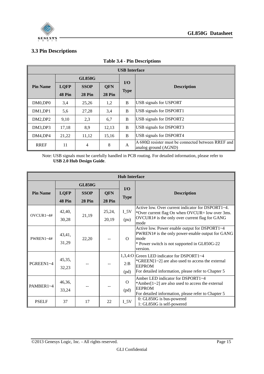

#### <span id="page-14-0"></span>**3.3 Pin Descriptions**

| <b>USB</b> Interface |               |               |               |             |                                                                                   |  |  |  |  |
|----------------------|---------------|---------------|---------------|-------------|-----------------------------------------------------------------------------------|--|--|--|--|
|                      |               | <b>GL850G</b> |               |             |                                                                                   |  |  |  |  |
| <b>Pin Name</b>      | <b>LQFP</b>   | <b>SSOP</b>   | <b>QFN</b>    | $IO$        | <b>Description</b>                                                                |  |  |  |  |
|                      | <b>48 Pin</b> | <b>28 Pin</b> | <b>28 Pin</b> | <b>Type</b> |                                                                                   |  |  |  |  |
| DM0,DP0              | 3,4           | 25,26         | 1,2           | B           | USB signals for USPORT                                                            |  |  |  |  |
| DM1,DP1              | 5,6           | 27,28         | 3,4           | B           | USB signals for DSPORT1                                                           |  |  |  |  |
| DM2,DP2              | 9,10          | 2,3           | 6,7           | B           | USB signals for DSPORT2                                                           |  |  |  |  |
| DM3,DP3              | 17,18         | 8,9           | 12,13         | B           | USB signals for DSPORT3                                                           |  |  |  |  |
| DM4,DP4              | 21,22         | 11,12         | 15,16         | B           | USB signals for DSPORT4                                                           |  |  |  |  |
| <b>RREF</b>          | 11            | 4             | 8             | A           | $A 680\Omega$ resister must be connected between RREF and<br>analog ground (AGND) |  |  |  |  |

#### <span id="page-14-1"></span>**Table 3.4 - Pin Descriptions**

Note: USB signals must be carefully handled in PCB routing. For detailed information, please refer to **USB 2.0 Hub Design Guide**.

|                 | <b>Hub Interface</b> |               |            |                  |                                                                                                                                                                          |  |  |  |  |  |
|-----------------|----------------------|---------------|------------|------------------|--------------------------------------------------------------------------------------------------------------------------------------------------------------------------|--|--|--|--|--|
|                 |                      | <b>GL850G</b> |            | $IO$             |                                                                                                                                                                          |  |  |  |  |  |
| <b>Pin Name</b> | <b>LQFP</b>          | <b>SSOP</b>   | <b>QFN</b> | <b>Type</b>      | <b>Description</b>                                                                                                                                                       |  |  |  |  |  |
|                 | <b>48 Pin</b>        | <b>28 Pin</b> | 28 Pin     |                  |                                                                                                                                                                          |  |  |  |  |  |
| OVCUR1~4#       | 42,40,               | 21,19         | 25,24,     | $I_5V$           | Active low. Over current indicator for DSPORT1~4.<br>*Over current flag On when OVCUR= low over 3ms.                                                                     |  |  |  |  |  |
|                 | 30,28                |               | 20,19      | (pu)             | OVCUR1# is the only over current flag for GANG<br>mode                                                                                                                   |  |  |  |  |  |
| PWREN1~4#       | 43,41,<br>31,29      | 22,20         |            | $\Omega$         | Active low. Power enable output for DSPORT1~4<br>PWREN1# is the only power-enable output for GANG<br>mode<br>* Power switch is not supported in GL850G-22<br>version.    |  |  |  |  |  |
| PGREEN1~4       | 45,35,<br>32,23      |               |            | 2:B<br>(pd)      | 1,3,4:0 Green LED indicator for DSPORT1~4<br>*GREEN $[1-2]$ are also used to access the external<br><b>EEPROM</b><br>For detailed information, please refer to Chapter 5 |  |  |  |  |  |
| PAMBER1~4       | 46,36,<br>33,24      |               |            | $\Omega$<br>(pd) | Amber LED indicator for DSPORT1~4<br>*Amber[ $1\text{-}2$ ] are also used to access the external<br><b>EEPROM</b><br>For detailed information, please refer to Chapter 5 |  |  |  |  |  |
| <b>PSELF</b>    | 37                   | 17            | 22         | $I_5V$           | 0: GL850G is bus-powered<br>1: GL850G is self-powered                                                                                                                    |  |  |  |  |  |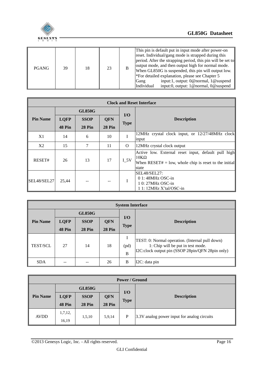

| <b>PGANG</b> | 39 | 18 | 23 |  | This pin is default put in input mode after power-on<br>reset. Individual/gang mode is strapped during this<br>period. After the strapping period, this pin will be set to<br>output mode, and then output high for normal mode.<br>When GL850G is suspended, this pin will output low.<br>*For detailed explanation, please see Chapter 5<br>input: 1, output: 0@normal, 1@suspend<br>Gang<br>input:0, output: $1@normal$ , $0@sub$<br>Individual |
|--------------|----|----|----|--|----------------------------------------------------------------------------------------------------------------------------------------------------------------------------------------------------------------------------------------------------------------------------------------------------------------------------------------------------------------------------------------------------------------------------------------------------|
|--------------|----|----|----|--|----------------------------------------------------------------------------------------------------------------------------------------------------------------------------------------------------------------------------------------------------------------------------------------------------------------------------------------------------------------------------------------------------------------------------------------------------|

| <b>Clock and Reset Interface</b> |                                                                                                 |               |               |             |                                                                                                                                        |  |  |
|----------------------------------|-------------------------------------------------------------------------------------------------|---------------|---------------|-------------|----------------------------------------------------------------------------------------------------------------------------------------|--|--|
| <b>GL850G</b>                    |                                                                                                 |               |               |             |                                                                                                                                        |  |  |
| <b>Pin Name</b>                  | <b>LQFP</b>                                                                                     | <b>SSOP</b>   |               | I/O         | <b>Description</b>                                                                                                                     |  |  |
|                                  | 48 Pin                                                                                          | <b>28 Pin</b> | <b>28 Pin</b> | <b>Type</b> |                                                                                                                                        |  |  |
| X1                               | 14                                                                                              | 6             | 10            |             | 12MHz crystal clock input, or 12/27/48MHz clock<br>input                                                                               |  |  |
| X2                               | 15                                                                                              | 7             | 11            | $\Omega$    | 12MHz crystal clock output                                                                                                             |  |  |
| RESET#                           | 26                                                                                              | 13            | 17            | <b>I</b> 5V | Active low. External reset input, default pull high<br>$10K\Omega$<br>When RESET# $=$ low, whole chip is reset to the initial<br>state |  |  |
| SEL48/SEL27                      | SEL48/SEL27:<br>$01:48MHz$ OSC-in<br>I<br>25,44<br>1 0: 27MHz OSC-in<br>1 1: 12MHz X'tal/OSC-in |               |               |             |                                                                                                                                        |  |  |

| <b>System Interface</b> |               |               |               |                    |                                                                                                                                          |  |
|-------------------------|---------------|---------------|---------------|--------------------|------------------------------------------------------------------------------------------------------------------------------------------|--|
|                         | <b>GL850G</b> |               |               |                    |                                                                                                                                          |  |
| <b>Pin Name</b>         | <b>LQFP</b>   | <b>SSOP</b>   | <b>QFN</b>    | $U$<br><b>Type</b> | <b>Description</b>                                                                                                                       |  |
|                         | 48 Pin        | <b>28 Pin</b> | <b>28 Pin</b> |                    |                                                                                                                                          |  |
| <b>TEST/SCL</b>         | 27            | 14            | 18            | (pd)<br>B          | TEST: 0: Normal operation. (Internal pull down)<br>1: Chip will be put in test mode.<br>I2C:clock output pin (SSOP 28pin/QFN 28pin only) |  |
| <b>SDA</b>              |               |               | 26            | B                  | I2C: data pin                                                                                                                            |  |

| <b>Power / Ground</b> |             |               |               |             |                                             |  |  |
|-----------------------|-------------|---------------|---------------|-------------|---------------------------------------------|--|--|
| <b>GL850G</b>         |             |               |               |             |                                             |  |  |
| <b>Pin Name</b>       | <b>LQFP</b> | <b>SSOP</b>   | QFN           | I/O         | <b>Description</b>                          |  |  |
|                       | 48 Pin      | <b>28 Pin</b> | <b>28 Pin</b> | <b>Type</b> |                                             |  |  |
| <b>AVDD</b>           | 1,7,12,     |               |               |             |                                             |  |  |
|                       | 16,19       | 1,5,10        | 5,9,14        | P           | 3.3V analog power input for analog circuits |  |  |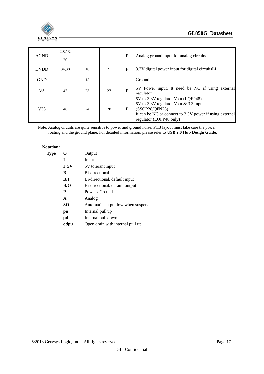

| <b>AGND</b>     | 2,8,13,<br>20 |    |    | P | Analog ground input for analog circuits                                                                                                                                             |  |
|-----------------|---------------|----|----|---|-------------------------------------------------------------------------------------------------------------------------------------------------------------------------------------|--|
| <b>DVDD</b>     | 34,38         | 16 | 21 | P | 3.3V digital power input for digital circuitsLL                                                                                                                                     |  |
| <b>GND</b>      |               | 15 |    |   | Ground                                                                                                                                                                              |  |
| V <sub>5</sub>  | 47            | 23 | 27 | P | 5V Power input. It need be NC if using external<br>regulator                                                                                                                        |  |
| V <sub>33</sub> | 48            | 24 | 28 | P | 5V-to-3.3V regulator Vout (LQFP48)<br>5V-to-3.3V regulator Vout & 3.3 input<br>(SSOP28/QFN28)<br>It can be NC or connect to 3.3V power if using external<br>regulator (LQFP48 only) |  |

Note: Analog circuits are quite sensitive to power and ground noise. PCB layout must take care the power routing and the ground plane. For detailed information, please refer to **USB 2.0 Hub Design Guide**.

#### **Notation:**

| <b>Type</b> | O      | Output                            |
|-------------|--------|-----------------------------------|
|             | I      | Input                             |
|             | $I_5V$ | 5V tolerant input                 |
|             | B      | Bi-directional                    |
|             | B/I    | Bi-directional, default input     |
|             | B/O    | Bi-directional, default output    |
|             | P      | Power / Ground                    |
|             | A      | Analog                            |
|             | SO.    | Automatic output low when suspend |
|             | pu     | Internal pull up                  |
|             | pd     | Internal pull down                |
|             | odpu   | Open drain with internal pull up  |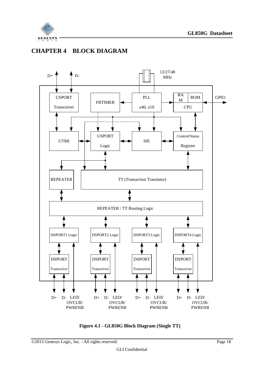

## <span id="page-17-0"></span>**CHAPTER 4 BLOCK DIAGRAM**



<span id="page-17-1"></span>**Figure 4.1 - GL850G Block Diagram (Single TT)**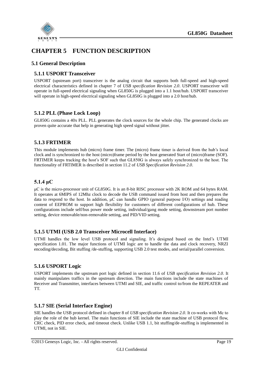

## <span id="page-18-0"></span>**CHAPTER 5 FUNCTION DESCRIPTION**

#### <span id="page-18-1"></span>**5.1 General Description**

#### <span id="page-18-2"></span>**5.1.1 USPORT Transceiver**

USPORT (upstream port) transceiver is the analog circuit that supports both full-speed and high-speed electrical characteristics defined in chapter 7 of *USB specification Revision 2.0*. USPORT transceiver will operate in full-speed electrical signaling when GL850G is plugged into a 1.1 host/hub. USPORT transceiver will operate in high-speed electrical signaling when GL850G is plugged into a 2.0 host/hub.

#### <span id="page-18-3"></span>**5.1.2 PLL (Phase Lock Loop)**

GL850G contains a 40x PLL. PLL generates the clock sources for the whole chip. The generated clocks are proven quite accurate that help in generating high speed signal without jitter.

#### <span id="page-18-4"></span>**5.1.3 FRTIMER**

This module implements hub (micro) frame timer. The (micro) frame timer is derived from the hub's local clock and is synchronized to the host (micro)frame period by the host generated Start of (micro)frame (SOF). FRTIMER keeps tracking the host's SOF such that GL850G is always safely synchronized to the host. The functionality of FRTIMER is described in section 11.2 of *USB Specification Revision 2.0*.

#### <span id="page-18-5"></span>**5.1.4 μC**

μC is the micro-processor unit of GL850G. It is an 8-bit RISC processor with 2K ROM and 64 bytes RAM. It operates at 6MIPS of 12Mhz clock to decode the USB command issued from host and then prepares the data to respond to the host. In addition, μC can handle GPIO (general purpose I/O) settings and reading content of EEPROM to support high flexibility for customers of different configurations of hub. These configurations include self/bus power mode setting, individual/gang mode setting, downstream port number setting, device removable/non-removable setting, and PID/VID setting.

#### <span id="page-18-6"></span>**5.1.5 UTMI (USB 2.0 Transceiver Microcell Interface)**

UTMI handles the low level USB protocol and signaling. It's designed based on the Intel's UTMI specification 1.01. The major functions of UTMI logic are to handle the data and clock recovery, NRZI encoding/decoding, Bit stuffing /de-stuffing, supporting USB 2.0 test modes, and serial/parallel conversion.

#### <span id="page-18-7"></span>**5.1.6 USPORT Logic**

USPORT implements the upstream port logic defined in section 11.6 of *USB specification Revision 2.0*. It mainly manipulates traffics in the upstream direction. The main functions include the state machines of Receiver and Transmitter, interfaces between UTMI and SIE, and traffic control to/from the REPEATER and TT.

#### <span id="page-18-8"></span>**5.1.7 SIE (Serial Interface Engine)**

SIE handles the USB protocol defined in chapter 8 of *USB specification Revision 2.0*. It co-works with Μc to play the role of the hub kernel. The main functions of SIE include the state machine of USB protocol flow, CRC check, PID error check, and timeout check. Unlike USB 1.1, bit stuffing/de-stuffing is implemented in UTMI, not in SIE.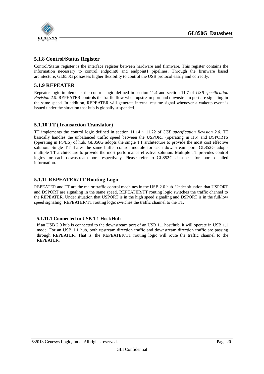

#### <span id="page-19-0"></span>**5.1.8 Control/Status Register**

Control/Status register is the interface register between hardware and firmware. This register contains the information necessary to control endpoint0 and endpoint1 pipelines. Through the firmware based architecture, GL850G possesses higher flexibility to control the USB protocol easily and correctly.

#### <span id="page-19-1"></span>**5.1.9 REPEATER**

Repeater logic implements the control logic defined in section 11.4 and section 11.7 of *USB specification Revision 2.0*. REPEATER controls the traffic flow when upstream port and downstream port are signaling in the same speed. In addition, REPEATER will generate internal resume signal whenever a wakeup event is issued under the situation that hub is globally suspended.

#### <span id="page-19-2"></span>**5.1.10 TT (Transaction Translator)**

TT implements the control logic defined in section 11.14 ~ 11.22 of *USB specification Revision 2.0*. TT basically handles the unbalanced traffic speed between the USPORT (operating in HS) and DSPORTS (operating in FS/LS) of hub. GL850G adopts the single TT architecture to provide the most cost effective solution. Single TT shares the same buffer control module for each downstream port. GL852G adopts multiple TT architecture to provide the most performance effective solution. Multiple TT provides control logics for each downstream port respectively. Please refer to GL852G datasheet for more detailed information.

#### <span id="page-19-3"></span>**5.1.11 REPEATER/TT Routing Logic**

REPEATER and TT are the major traffic control machines in the USB 2.0 hub. Under situation that USPORT and DSPORT are signaling in the same speed, REPEATER/TT routing logic switches the traffic channel to the REPEATER. Under situation that USPORT is in the high speed signaling and DSPORT is in the full/low speed signaling, REPEATER/TT routing logic switches the traffic channel to the TT.

#### **5.1.11.1 Connected to USB 1.1 Host/Hub**

If an USB 2.0 hub is connected to the downstream port of an USB 1.1 host/hub, it will operate in USB 1.1 mode. For an USB 1.1 hub, both upstream direction traffic and downstream direction traffic are passing through REPEATER. That is, the REPEATER/TT routing logic will route the traffic channel to the REPEATER.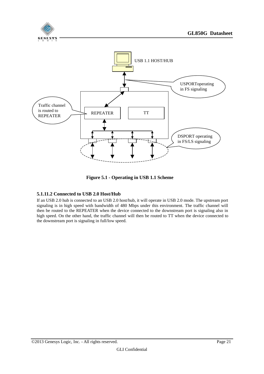

**Figure 5.1 - Operating in USB 1.1 Scheme**

#### <span id="page-20-0"></span>**5.1.11.2 Connected to USB 2.0 Host/Hub**

If an USB 2.0 hub is connected to an USB 2.0 host/hub, it will operate in USB 2.0 mode. The upstream port signaling is in high speed with bandwidth of 480 Mbps under this environment. The traffic channel will then be routed to the REPEATER when the device connected to the downstream port is signaling also in high speed. On the other hand, the traffic channel will then be routed to TT when the device connected to the downstream port is signaling in full/low speed.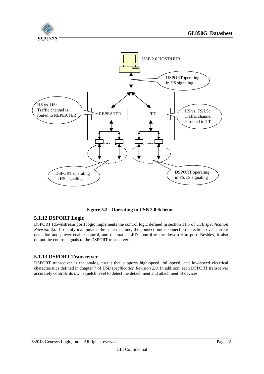

**Figure 5.2 - Operating in USB 2.0 Scheme**

#### <span id="page-21-2"></span><span id="page-21-0"></span>**5.1.12 DSPORT Logic**

DSPORT (downstream port) logic implements the control logic defined in section 11.5 of *USB specification Revision 2.0*. It mainly manipulates the state machine, the connection/disconnection detection, over current detection and power enable control, and the status LED control of the downstream port. Besides, it also output the control signals to the DSPORT transceiver.

#### <span id="page-21-1"></span>**5.1.13 DSPORT Transceiver**

DSPORT transceiver is the analog circuit that supports high-speed, full-speed, and low-speed electrical characteristics defined in chapter 7 of *USB specification Revision 2.0*. In addition, each DSPORT transceiver accurately controls its own squelch level to detect the detachment and attachment of devices.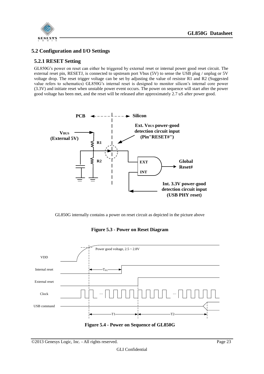

#### <span id="page-22-0"></span>**5.2 Configuration and I/O Settings**

#### <span id="page-22-1"></span>**5.2.1 RESET Setting**

GL850G's power on reset can either be triggered by external reset or internal power good reset circuit. The external reset pin, RESETJ, is connected to upstream port Vbus (5V) to sense the USB plug / unplug or 5V voltage drop. The reset trigger voltage can be set by adjusting the value of resistor R1 and R2 (Suggested value refers to schematics) GL850G's internal reset is designed to monitor silicon's internal core power (3.3V) and initiate reset when unstable power event occurs. The power on sequence will start after the power good voltage has been met, and the reset will be released after approximately 2.7 uS after power good.



GL850G internally contains a power on reset circuit as depicted in the picture above

<span id="page-22-2"></span>

**Figure 5.3 - Power on Reset Diagram** 

<span id="page-22-3"></span>**Figure 5.4 - Power on Sequence of GL850G**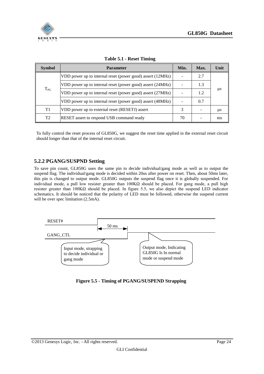

<span id="page-23-2"></span>

| <b>Symbol</b>  | <b>Parameter</b>                                           | Min.                     | Max. | Unit |
|----------------|------------------------------------------------------------|--------------------------|------|------|
|                | VDD power up to internal reset (power good) assert (12MHz) | $\overline{\phantom{0}}$ | 2.7  |      |
|                | VDD power up to internal reset (power good) assert (24MHz) |                          | 1.3  |      |
| $T_{PG}$       | VDD power up to internal reset (power good) assert (27MHz) |                          | 1.2  | μs   |
|                | VDD power up to internal reset (power good) assert (48MHz) | ۰                        | 0.7  |      |
| T1             | VDD power up to external reset (RESETJ) assert             | 3                        |      | μs   |
| T <sub>2</sub> | RESET assert to respond USB command ready                  | 70                       |      | ms   |

#### **Table 5.1 - Reset Timing**

To fully control the reset process of GL850G, we suggest the reset time applied in the external reset circuit should longer than that of the internal reset circuit.

#### <span id="page-23-0"></span>**5.2.2 PGANG/SUSPND Setting**

To save pin count, GL850G uses the same pin to decide individual/gang mode as well as to output the suspend flag. The individual/gang mode is decided within 20us after power on reset. Then, about 50ms later, this pin is changed to output mode. GL850G outputs the suspend flag once it is globally suspended. For individual mode, a pull low resister greater than  $100KΩ$  should be placed. For gang mode, a pull high resister greater than 100KΩ should be placed. In figure 5.5, we also depict the suspend LED indicator schematics. It should be noticed that the polarity of LED must be followed, otherwise the suspend current will be over spec limitation  $(2.5mA)$ .



<span id="page-23-1"></span>**Figure 5.5 - Timing of PGANG/SUSPEND Strapping**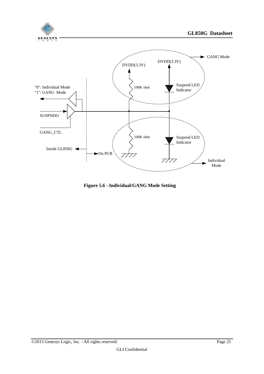

<span id="page-24-0"></span>**Figure 5.6 - Individual/GANG Mode Setting**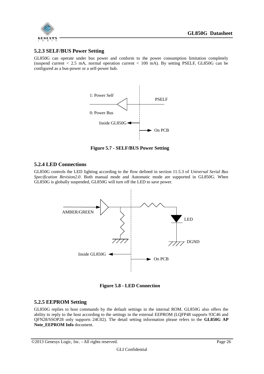

#### <span id="page-25-0"></span>**5.2.3 SELF/BUS Power Setting**

GL850G can operate under bus power and conform to the power consumption limitation completely (suspend current < 2.5 mA, normal operation current < 100 mA). By setting PSELF, GL850G can be configured as a bus-power or a self-power hub.



**Figure 5.7 - SELF/BUS Power Setting**

#### <span id="page-25-3"></span><span id="page-25-1"></span>**5.2.4 LED Connections**

GL850G controls the LED lighting according to the flow defined in section 11.5.3 of *Universal Serial Bus Specification Revision2.0*. Both manual mode and Automatic mode are supported in GL850G. When GL850G is globally suspended, GL850G will turn off the LED to save power.



**Figure 5.8 - LED Connection**

#### <span id="page-25-4"></span><span id="page-25-2"></span>**5.2.5 EEPROM Setting**

GL850G replies to host commands by the default settings in the internal ROM. GL850G also offers the ability to reply to the host according to the settings in the external EEPROM (LQFP48 supports 93C46 and QFN28/SSOP28 only supports 24C02). The detail setting information please refers to the **GL850G AP Note\_EEPROM Info** document.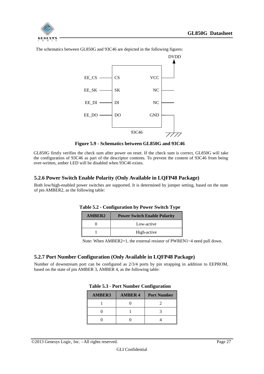



The schematics between GL850G and 93C46 are depicted in the following figures:

**Figure 5.9 - Schematics between GL850G and 93C46**

<span id="page-26-2"></span>GL850G firstly verifies the check sum after power on reset. If the check sum is correct, GL850G will take the configuration of 93C46 as part of the descriptor contents. To prevent the content of 93C46 from being over-written, amber LED will be disabled when 93C46 exists.

#### <span id="page-26-0"></span>**5.2.6 Power Switch Enable Polarity (Only Available in LQFP48 Package)**

<span id="page-26-3"></span>Both low/high-enabled power switches are supported. It is determined by jumper setting, based on the state of pin AMBER2, as the following table:

| <b>AMBER2</b> | <b>Power Switch Enable Polarity</b> |
|---------------|-------------------------------------|
|               | Low-active                          |
|               | High-active                         |

| Table 5.2 - Configuration by Power Switch Type |  |  |
|------------------------------------------------|--|--|
|------------------------------------------------|--|--|

Note: When AMBER2=1, the external resistor of PWREN1~4 need pull down.

#### <span id="page-26-1"></span>**5.2.7 Port Number Configuration (Only Available in LQFP48 Package)**

<span id="page-26-4"></span>Number of downstream port can be configured as 2/3/4 ports by pin strapping in addition to EEPROM, based on the state of pin AMBER 3, AMBER 4, as the following table:

| <b>AMBER3</b> | <b>AMBER 4</b> | <b>Port Number</b> |
|---------------|----------------|--------------------|
|               |                |                    |
|               |                |                    |
|               |                |                    |

#### **Table 5.3 - Port Number Configuration**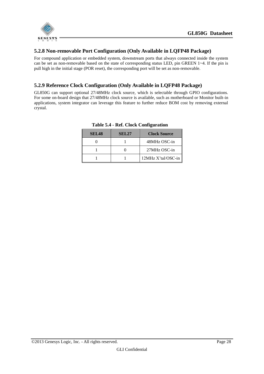

#### <span id="page-27-0"></span>**5.2.8 Non-removable Port Configuration (Only Available in LQFP48 Package)**

For compound application or embedded system, downstream ports that always connected inside the system can be set as non-removable based on the state of corresponding status LED, pin GREEN 1~4. If the pin is pull high in the initial stage (POR reset), the corresponding port will be set as non-removable.

#### <span id="page-27-1"></span>**5.2.9 Reference Clock Configuration (Only Available in LQFP48 Package)**

<span id="page-27-2"></span>GL850G can support optional 27/48MHz clock source, which is selectable through GPIO configurations. For some on-board design that 27/48MHz clock source is available, such as motherboard or Monitor built-in applications, system integrator can leverage this feature to further reduce BOM cost by removing external crystal.

| <b>SEL48</b> | <b>SEL27</b> | <b>Clock Source</b> |
|--------------|--------------|---------------------|
|              |              | 48MHz OSC-in        |
|              |              | 27MHz OSC-in        |
|              |              | 12MHz X'tal/OSC-in  |

**Table 5.4 - Ref. Clock Configuration**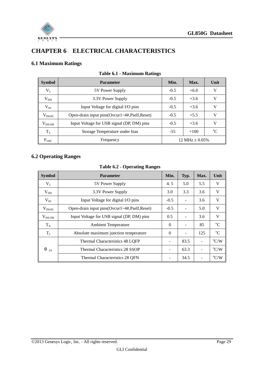

## <span id="page-28-0"></span>**CHAPTER 6 ELECTRICAL CHARACTERISTICS**

#### <span id="page-28-3"></span><span id="page-28-1"></span>**6.1 Maximum Ratings**

| <b>Symbol</b>   | <b>Parameter</b>                             | Min.   | Max.               | Unit     |
|-----------------|----------------------------------------------|--------|--------------------|----------|
| $V_5$           | 5V Power Supply                              | $-0.5$ | $+6.0$             | V        |
| $V_{DD}$        | 3.3V Power Supply                            | $-0.5$ | $+3.6$             | V        |
| $V_{IN}$        | Input Voltage for digital I/O pins           | $-0.5$ | $+3.6$             | V        |
| $V_{INOD}$      | Open-drain input pins(Ovcur1~4#,Pself,Reset) | $-0.5$ | $+5.5$             | V        |
| $\rm V_{INUSE}$ | Input Voltage for USB signal (DP, DM) pins   | $-0.5$ | $+3.6$             | V        |
| $T_S$           | Storage Temperature under bias               | $-55$  | $+100$             | $\alpha$ |
| $F_{\rm{OSC}}$  | Frequency                                    |        | 12 MHz $\pm$ 0.05% |          |

#### **Table 6.1 - Maximum Ratings**

#### <span id="page-28-4"></span><span id="page-28-2"></span>**6.2 Operating Ranges**

## **Table 6.2 - Operating Ranges**

| <b>Symbol</b>          | <b>Parameter</b>                             | Min.     | Typ. | Max. | Unit             |
|------------------------|----------------------------------------------|----------|------|------|------------------|
| $V_5$                  | 5V Power Supply                              | 4.5      | 5.0  | 5.5  | V                |
| $V_{DD}$               | 3.3V Power Supply                            | 3.0      | 3.3  | 3.6  | V                |
| $V_{IN}$               | Input Voltage for digital I/O pins           | $-0.5$   |      | 3.6  | V                |
| $V_{INOD}$             | Open-drain input pins(Ovcur1~4#,Pself,Reset) | $-0.5$   |      | 5.0  | V                |
| $V_{INUSE}$            | Input Voltage for USB signal (DP, DM) pins   | 0.5      |      | 3.6  | V                |
| $T_A$                  | <b>Ambient Temperature</b>                   | $\Omega$ |      | 85   | $^{\circ}C$      |
| $T_{\rm J}$            | Absolute maximum junction temperature        | $\theta$ |      | 125  | $\rm ^{o}C$      |
|                        | Thermal Characteristics 48 LQFP              |          | 83.5 |      | $\mathrm{^oC/W}$ |
| $\theta$ <sub>JA</sub> | Thermal Characteristics 28 SSOP              |          | 63.3 |      | $\rm ^{o}C/W$    |
|                        | Thermal Characteristics 28 OFN               |          | 34.5 |      | $\mathrm{C/W}$   |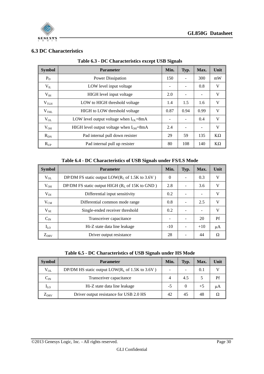

#### <span id="page-29-1"></span><span id="page-29-0"></span>**6.3 DC Characteristics**

| <b>Symbol</b>    | <b>Parameter</b>                              | Min.                     | Typ. | Max. | Unit      |
|------------------|-----------------------------------------------|--------------------------|------|------|-----------|
| $P_D$            | Power Dissipation                             | 150                      |      | 300  | mW        |
| $V_{IL}$         | LOW level input voltage                       | $\overline{\phantom{a}}$ |      | 0.8  | V         |
| $V_{III}$        | HIGH level input voltage                      | 2.0                      |      | ۰    | V         |
| V <sub>TLH</sub> | LOW to HIGH threshold voltage                 | 1.4                      | 1.5  | 1.6  | V         |
| V <sub>THL</sub> | <b>HIGH</b> to LOW threshold voltage          | 0.87                     | 0.94 | 0.99 | V         |
| $V_{OL}$         | LOW level output voltage when $I_{OL} = 8mA$  | -                        |      | 0.4  | V         |
| $V_{OH}$         | HIGH level output voltage when $I_{OH} = 8mA$ | 2.4                      |      |      | V         |
| $R_{DN}$         | Pad internal pull down resister               | 29                       | 59   | 135  | $K\Omega$ |
| $R_{UP}$         | Pad internal pull up resister                 | 80                       | 108  | 140  | $K\Omega$ |

|  |  | Table 6.3 - DC Characteristics except USB Signals |  |  |  |
|--|--|---------------------------------------------------|--|--|--|
|--|--|---------------------------------------------------|--|--|--|

#### **Table 6.4 - DC Characteristics of USB Signals under FS/LS Mode**

<span id="page-29-2"></span>

| <b>Symbol</b> | <b>Parameter</b>                                                    | Min.     | Typ. | Max.  | Unit |
|---------------|---------------------------------------------------------------------|----------|------|-------|------|
| $V_{OL}$      | DP/DM FS static output $LOW(R_L \text{ of } 1.5K \text{ to } 3.6V)$ | $\Omega$ |      | 0.3   | V    |
| $V_{OH}$      | DP/DM FS static output HIGH $(RL$ of 15K to GND)                    | 2.8      |      | 3.6   | V    |
| $V_{DI}$      | Differential input sensitivity                                      | 0.2      |      |       | V    |
| $V_{CM}$      | Differential common mode range                                      | 0.8      |      | 2.5   | V    |
| $V_{SE}$      | Single-ended receiver threshold                                     | 0.2      |      | ۰     | V    |
| $C_{IN}$      | Transceiver capacitance                                             |          |      | 20    | Pf   |
| $I_{LO}$      | Hi-Z state data line leakage                                        |          |      | $+10$ | μA   |
| $Z_{DRV}$     | Driver output resistance                                            | 28       |      | 44    | Ω    |

| Table 6.5 - DC Characteristics of USB Signals under HS Mode |  |  |  |  |
|-------------------------------------------------------------|--|--|--|--|
|-------------------------------------------------------------|--|--|--|--|

<span id="page-29-3"></span>

| <b>Symbol</b>              | <b>Parameter</b>                                 | Min.                     | Typ. | Max. | Unit |
|----------------------------|--------------------------------------------------|--------------------------|------|------|------|
| $V_{OL}$                   | DP/DM HS static output $LOW(RL$ of 1.5K to 3.6V) | $\overline{\phantom{a}}$ |      | 0.1  |      |
| $C_{IN}$                   | Transceiver capacitance                          |                          | 4.5  |      | Pf   |
| $\rm I_{LO}$               | Hi-Z state data line leakage                     | -5                       |      | $+5$ | μA   |
| $\mathcal{L}_{\text{DRV}}$ | Driver output resistance for USB 2.0 HS          | 42                       | 45   | 48   | Ω    |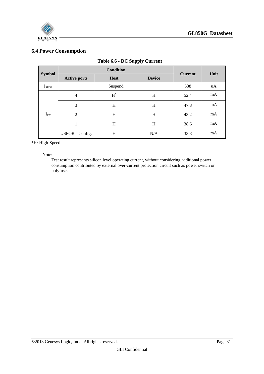



#### <span id="page-30-1"></span><span id="page-30-0"></span>**6.4 Power Consumption**

|               |                       | <b>Condition</b>     |               | <b>Current</b> | Unit |  |
|---------------|-----------------------|----------------------|---------------|----------------|------|--|
| <b>Symbol</b> | <b>Active ports</b>   | <b>Host</b>          | <b>Device</b> |                |      |  |
| $I_{SUSP}$    |                       | Suspend              |               | 538            | uA   |  |
|               | $\overline{4}$        | $\operatorname{H}^*$ | H             | 52.4           | mA   |  |
|               | 3                     | H                    | H             | 47.8           | mA   |  |
| $I_{CC}$      | $\overline{2}$        | H                    | H             | 43.2           | mA   |  |
|               | 1                     | H                    | H             | 38.6           | mA   |  |
|               | <b>USPORT Config.</b> | H                    | N/A           | 33.8           | mA   |  |

#### **Table 6.6 - DC Supply Current**

\*H: High-Speed

Note:

Test result represents silicon level operating current, without considering additional power consumption contributed by external over-current protection circuit such as power switch or polyfuse.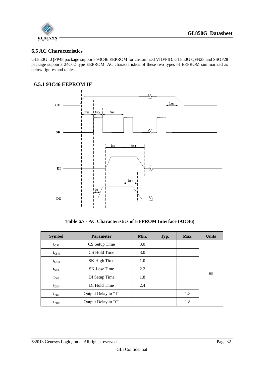

#### <span id="page-31-0"></span>**6.5 AC Characteristics**

GL850G LQFP48 package supports 93C46 EEPROM for customized VID/PID. GL850G QFN28 and SSOP28 package supports 24C02 type EEPROM. AC characteristics of these two types of EEPROM summarized as below figures and tables.

#### <span id="page-31-1"></span>**6.5.1 93C46 EEPROM IF**



**Table 6.7 - AC Characteristics of EEPROM Interface (93C46)**

<span id="page-31-2"></span>

| <b>Symbol</b>    | <b>Parameter</b>    | Min. | Typ. | Max. | <b>Units</b> |
|------------------|---------------------|------|------|------|--------------|
| $t_{\text{CSS}}$ | CS Setup Time       | 3.0  |      |      |              |
| $t_{\rm CSH}$    | CS Hold Time        |      |      |      |              |
| $t_{\rm SKH}$    | SK High Time        |      |      |      |              |
| $t_{\rm SKL}$    | <b>SK Low Time</b>  |      |      |      |              |
| $t_{\rm DIS}$    | DI Setup Time       |      |      |      | <b>us</b>    |
| $t_{\rm DIH}$    | DI Hold Time        |      |      |      |              |
| $t_{\rm PD1}$    | Output Delay to "1" |      |      | 1.8  |              |
| $t_{\text{PDO}}$ | Output Delay to "0" |      |      | 1.8  |              |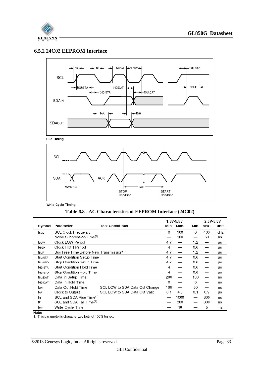

#### <span id="page-32-0"></span>**6.5.2 24C02 EEPROM Interface**



**Bus Timing** 



Write Cycle Timing

<span id="page-32-1"></span>

|         |                                                      |                                | 1.8V-5.5V |      | 2.5V-5.5V |      |      |
|---------|------------------------------------------------------|--------------------------------|-----------|------|-----------|------|------|
| Symbol  | Parameter                                            | <b>Test Conditions</b>         | MIn.      | Max. | MIn.      | Max. | Unit |
| fscL    | <b>SCL Clock Frequency</b>                           |                                | 0         | 100  | 0         | 400  | KHz  |
| т       | Noise Suppression Time <sup>(1)</sup>                |                                | –         | 100  |           | 50   | ns   |
| tLOW    | Clock LOW Period                                     |                                | 4.7       |      | 1.2       |      | μs   |
| thigh   | Clock HIGH Period                                    |                                | 4         |      | 0.6       |      | μs   |
| tBUF    | Bus Free Time Before New Transmission <sup>(1)</sup> |                                | 4.7       |      | 1.2       |      | μs   |
| tsu:sta | Start Condition Setup Time                           |                                | 4.7       |      | 0.6       |      | μs   |
| tsu:sto | Stop Condition Setup Time                            |                                | 4.7       |      | 0.6       |      | μs   |
| thd:STA | <b>Start Condition Hold Time</b>                     |                                | 4         |      | 0.6       |      | μs   |
| thd:STO | Stop Condition Hold Time                             |                                | 4         |      | 0.6       |      | μs   |
| tsu:DAT | Data In Setup Time                                   |                                | 200       |      | 100       |      | ns   |
| thd:DAT | Data In Hold Time                                    |                                | 0         |      | 0         |      | ns   |
| tон     | Data Out Hold Time                                   | SCL LOW to SDA Data Out Change | 100       |      | 50        |      | ns   |
| taa     | Clock to Output                                      | SCL LOW to SDA Data Out Valid  | 0.1       | 4.5  | 0.1       | 0.9  | μs   |
| tв      | SCL and SDA Rise Time <sup>(1)</sup>                 |                                | —         | 1000 |           | 300  | ns   |
| tF      | SCL and SDA Fall Time <sup>(1)</sup>                 |                                |           | 300  |           | 300  | ns   |
| twR     | Write Cycle Time                                     |                                |           | 10   |           | 5    | ms   |

Note:<br>1. This parameter is characterized but not 100% tested.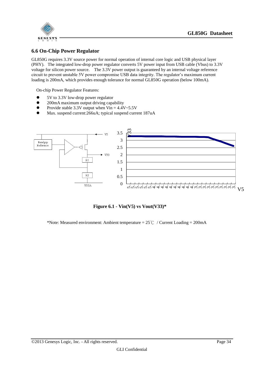



#### <span id="page-33-0"></span>**6.6 On-Chip Power Regulator**

GL850G requires 3.3V source power for normal operation of internal core logic and USB physical layer (PHY). The integrated low-drop power regulator converts 5V power input from USB cable (Vbus) to 3.3V voltage for silicon power source. The 3.3V power output is guaranteed by an internal voltage reference circuit to prevent unstable 5V power compromise USB data integrity. The regulator's maximum current loading is 200mA, which provides enough tolerance for normal GL850G operation (below 100mA).

On-chip Power Regulator Features:

- 5V to 3.3V low-drop power regulator
- 200mA maximum output driving capability
- Provide stable 3.3V output when  $V\in$  4.4V~5.5V
- Max. suspend current:266uA; typical suspend current 187uA



**Figure 6.1 - Vin(V5) vs Vout(V33)\***

<span id="page-33-1"></span>\*Note: Measured environment: Ambient temperature =  $25^{\circ}$ C / Current Loading = 200mA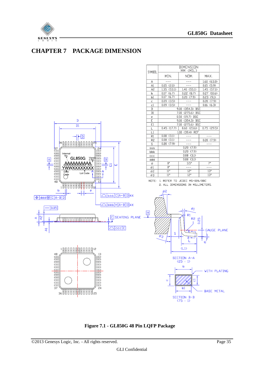

## <span id="page-34-0"></span>**CHAPTER 7 PACKAGE DIMENSION**



<span id="page-34-1"></span>**Figure 7.1 - GL850G 48 Pin LQFP Package**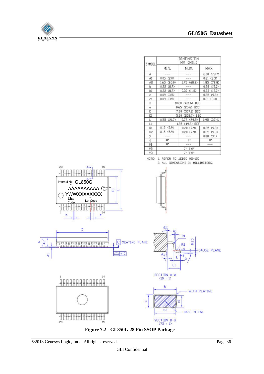

<span id="page-35-0"></span>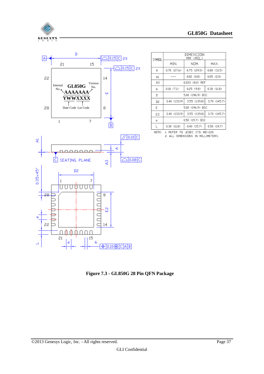



DIMENSION<br>MM (MIL) SYMBOL MIN. NOM. MAX. A  $0.70$  (27.6) 0.75 (29.5)  $0.80$  (31.5)  $\overline{a}$  $0.05$  (2.0)  $0.02 \quad (0.8)$  $A1$ A3 0.203 (8.0) REF  $0.18$   $(7.1)$  $0.25(9.8)$  $0.30$  (11.8)  $\mathsf{b}$  $\mathbb D$ 5.00 (196.9) BSC 3.40 (133.9) 3.55 (139.8) 3.70 (145.7) D2 Ē 5.00 (196.9) BSC E2 3.40 (133.9) 3.55 (139.8) 3.70 (145.7) 0.50 (19.7) BSC  $\mathfrak{p}$ 

NOTE: 1. REFER TO JEDEC STD. MD-220

 $0.30(11.8)$ 

 $\overline{L}$ 

2. ALL DIMENSIONS IN MILLIMETERS.

 $0.40(15.7)$ 

 $0.50(19.7)$ 

<span id="page-36-0"></span>**Figure 7.3 - GL850G 28 Pin QFN Package**